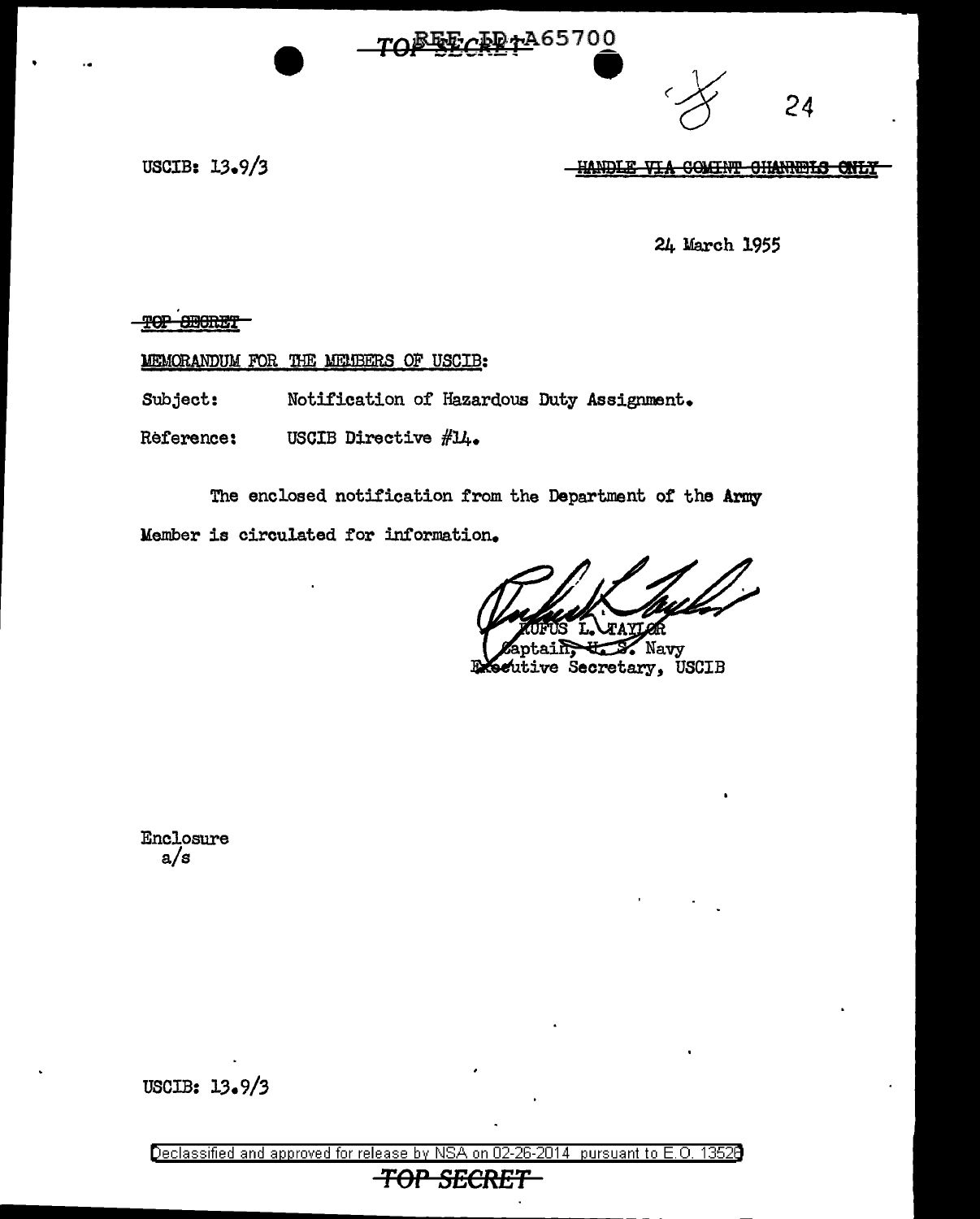## TOFFECRETA65700



USCIB: 13.9/3

HANDLE VIA COMINT CHANNELS ONLY

24 March 1955

TOP SHORET

MEMORANDUM FOR THE MEMBERS OF USCIB:

Subject: Notification of Hazardous Duty Assignment.

Reference: USCIB Directive #14.

The enclosed notification from the Department of the Army Member is circulated for information.

Navy Seutive Secretary, USCIB

Enclosure  $a/s$ 

USCIB: 13.9/3

Declassified and approved for release by NSA on 02-26  $-2014$  pursuant to E.O. 13520